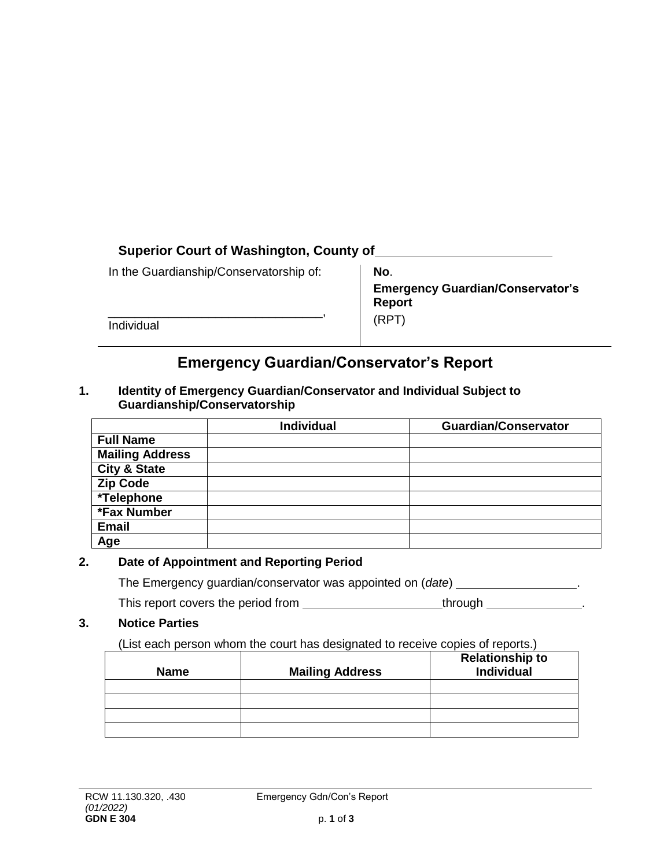## **Superior Court of Washington, County of**

In the Guardianship/Conservatorship of:

\_\_\_\_\_\_\_\_\_\_\_\_\_\_\_\_\_\_\_\_\_\_\_\_\_\_\_\_\_\_\_\_,

**No**. **Emergency Guardian/Conservator's Report** (RPT)

Individual

# **Emergency Guardian/Conservator's Report**

#### **1. Identity of Emergency Guardian/Conservator and Individual Subject to Guardianship/Conservatorship**

|                         | <b>Individual</b> | <b>Guardian/Conservator</b> |
|-------------------------|-------------------|-----------------------------|
| <b>Full Name</b>        |                   |                             |
| <b>Mailing Address</b>  |                   |                             |
| <b>City &amp; State</b> |                   |                             |
| <b>Zip Code</b>         |                   |                             |
| *Telephone              |                   |                             |
| *Fax Number             |                   |                             |
| <b>Email</b>            |                   |                             |
| Age                     |                   |                             |

### **2. Date of Appointment and Reporting Period**

The Emergency guardian/conservator was appointed on (*date*) .

This report covers the period from through .

## **3. Notice Parties**

(List each person whom the court has designated to receive copies of reports.)

| <b>Name</b> | <b>Mailing Address</b> | <b>Relationship to</b><br>Individual |
|-------------|------------------------|--------------------------------------|
|             |                        |                                      |
|             |                        |                                      |
|             |                        |                                      |
|             |                        |                                      |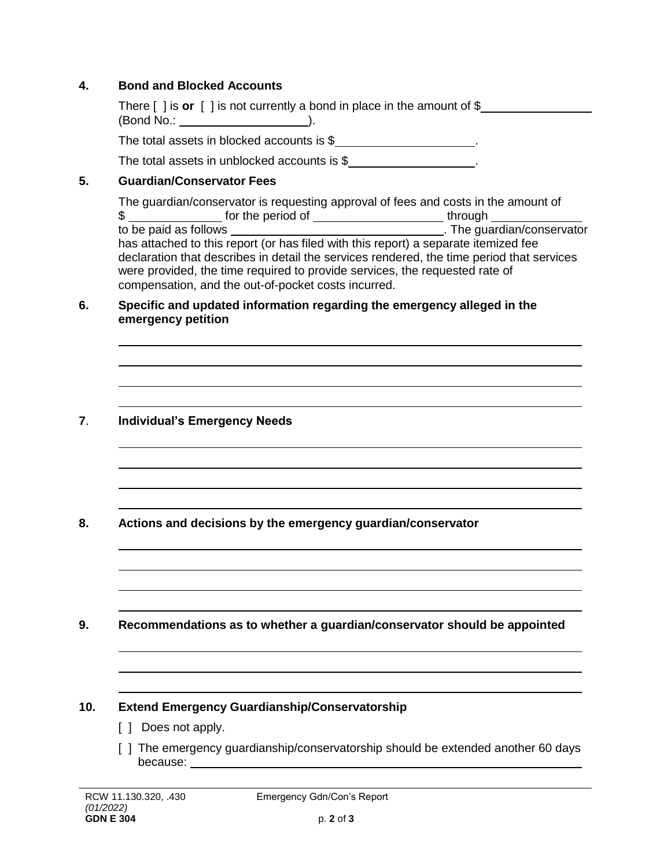## **4. Bond and Blocked Accounts**

|            | There $\lceil$ ] is or $\lceil$ ] is not currently a bond in place in the amount of \$ |  |
|------------|----------------------------------------------------------------------------------------|--|
| (Bond No.: |                                                                                        |  |

The total assets in blocked accounts is \$ .

The total assets in unblocked accounts is \$ ...

### **5. Guardian/Conservator Fees**

The guardian/conservator is requesting approval of fees and costs in the amount of

\$ \_\_\_\_\_\_\_\_\_\_\_\_\_\_\_ for the period of \_\_\_\_\_\_\_\_\_\_\_\_\_\_\_\_\_\_\_\_\_\_\_\_through \_\_\_\_\_\_\_\_\_\_\_ to be paid as follows . The guardian/conservator has attached to this report (or has filed with this report) a separate itemized fee declaration that describes in detail the services rendered, the time period that services were provided, the time required to provide services, the requested rate of compensation, and the out-of-pocket costs incurred.

#### **6. Specific and updated information regarding the emergency alleged in the emergency petition**

## **7**. **Individual's Emergency Needs**

**8. Actions and decisions by the emergency guardian/conservator**

**9. Recommendations as to whether a guardian/conservator should be appointed**

#### **10. Extend Emergency Guardianship/Conservatorship**

- [ ] Does not apply.
- [ ] The emergency guardianship/conservatorship should be extended another 60 days because: when the contract of the contract of the contract of the contract of the contract of the contract of the contract of the contract of the contract of the contract of the contract of the contract of the contract of